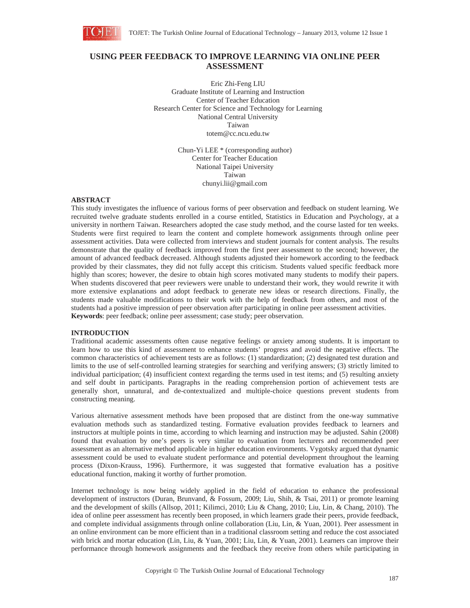

# **USING PEER FEEDBACK TO IMPROVE LEARNING VIA ONLINE PEER ASSESSMENT**

Eric Zhi-Feng LIU Graduate Institute of Learning and Instruction Center of Teacher Education Research Center for Science and Technology for Learning National Central University Taiwan totem@cc.ncu.edu.tw

> Chun-Yi LEE \* (corresponding author) Center for Teacher Education National Taipei University Taiwan chunyi.lii@gmail.com

## **ABSTRACT**

This study investigates the influence of various forms of peer observation and feedback on student learning. We recruited twelve graduate students enrolled in a course entitled, Statistics in Education and Psychology, at a university in northern Taiwan. Researchers adopted the case study method, and the course lasted for ten weeks. Students were first required to learn the content and complete homework assignments through online peer assessment activities. Data were collected from interviews and student journals for content analysis. The results demonstrate that the quality of feedback improved from the first peer assessment to the second; however, the amount of advanced feedback decreased. Although students adjusted their homework according to the feedback provided by their classmates, they did not fully accept this criticism. Students valued specific feedback more highly than scores; however, the desire to obtain high scores motivated many students to modify their papers. When students discovered that peer reviewers were unable to understand their work, they would rewrite it with more extensive explanations and adopt feedback to generate new ideas or research directions. Finally, the students made valuable modifications to their work with the help of feedback from others, and most of the students had a positive impression of peer observation after participating in online peer assessment activities. **Keywords**: peer feedback; online peer assessment; case study; peer observation.

### **INTRODUCTION**

Traditional academic assessments often cause negative feelings or anxiety among students. It is important to learn how to use this kind of assessment to enhance students' progress and avoid the negative effects. The common characteristics of achievement tests are as follows: (1) standardization; (2) designated test duration and limits to the use of self-controlled learning strategies for searching and verifying answers; (3) strictly limited to individual participation; (4) insufficient context regarding the terms used in test items; and (5) resulting anxiety and self doubt in participants. Paragraphs in the reading comprehension portion of achievement tests are generally short, unnatural, and de-contextualized and multiple-choice questions prevent students from constructing meaning.

Various alternative assessment methods have been proposed that are distinct from the one-way summative evaluation methods such as standardized testing. Formative evaluation provides feedback to learners and instructors at multiple points in time, according to which learning and instruction may be adjusted. Sahin (2008) found that evaluation by one's peers is very similar to evaluation from lecturers and recommended peer assessment as an alternative method applicable in higher education environments. Vygotsky argued that dynamic assessment could be used to evaluate student performance and potential development throughout the learning process (Dixon-Krauss, 1996). Furthermore, it was suggested that formative evaluation has a positive educational function, making it worthy of further promotion.

Internet technology is now being widely applied in the field of education to enhance the professional development of instructors (Duran, Brunvand, & Fossum, 2009; Liu, Shih, & Tsai, 2011) or promote learning and the development of skills (Allsop, 2011; Kilimci, 2010; Liu & Chang, 2010; Liu, Lin, & Chang, 2010). The idea of online peer assessment has recently been proposed, in which learners grade their peers, provide feedback, and complete individual assignments through online collaboration (Liu, Lin, & Yuan, 2001). Peer assessment in an online environment can be more efficient than in a traditional classroom setting and reduce the cost associated with brick and mortar education (Lin, Liu, & Yuan, 2001; Liu, Lin, & Yuan, 2001). Learners can improve their performance through homework assignments and the feedback they receive from others while participating in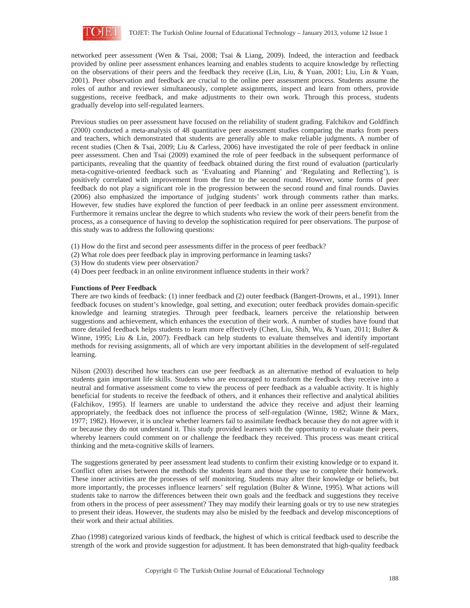

networked peer assessment (Wen & Tsai, 2008; Tsai & Liang, 2009). Indeed, the interaction and feedback provided by online peer assessment enhances learning and enables students to acquire knowledge by reflecting on the observations of their peers and the feedback they receive (Lin, Liu, & Yuan, 2001; Liu, Lin & Yuan, 2001). Peer observation and feedback are crucial to the online peer assessment process. Students assume the roles of author and reviewer simultaneously, complete assignments, inspect and learn from others, provide suggestions, receive feedback, and make adjustments to their own work. Through this process, students gradually develop into self-regulated learners.

Previous studies on peer assessment have focused on the reliability of student grading. Falchikov and Goldfinch (2000) conducted a meta-analysis of 48 quantitative peer assessment studies comparing the marks from peers and teachers, which demonstrated that students are generally able to make reliable judgments. A number of recent studies (Chen & Tsai, 2009; Liu & Carless, 2006) have investigated the role of peer feedback in online peer assessment. Chen and Tsai (2009) examined the role of peer feedback in the subsequent performance of participants, revealing that the quantity of feedback obtained during the first round of evaluation (particularly meta-cognitive-oriented feedback such as 'Evaluating and Planning' and 'Regulating and Reflecting'), is positively correlated with improvement from the first to the second round. However, some forms of peer feedback do not play a significant role in the progression between the second round and final rounds. Davies (2006) also emphasized the importance of judging students' work through comments rather than marks. However, few studies have explored the function of peer feedback in an online peer assessment environment. Furthermore it remains unclear the degree to which students who review the work of their peers benefit from the process, as a consequence of having to develop the sophistication required for peer observations. The purpose of this study was to address the following questions:

- (1) How do the first and second peer assessments differ in the process of peer feedback?
- (2) What role does peer feedback play in improving performance in learning tasks?
- (3) How do students view peer observation?
- (4) Does peer feedback in an online environment influence students in their work?

## **Functions of Peer Feedback**

There are two kinds of feedback: (1) inner feedback and (2) outer feedback (Bangert-Drowns, et al., 1991). Inner feedback focuses on student's knowledge, goal setting, and execution; outer feedback provides domain-specific knowledge and learning strategies. Through peer feedback, learners perceive the relationship between suggestions and achievement, which enhances the execution of their work. A number of studies have found that more detailed feedback helps students to learn more effectively (Chen, Liu, Shih, Wu, & Yuan, 2011; Bulter & Winne, 1995; Liu & Lin, 2007). Feedback can help students to evaluate themselves and identify important methods for revising assignments, all of which are very important abilities in the development of self-regulated learning.

Nilson (2003) described how teachers can use peer feedback as an alternative method of evaluation to help students gain important life skills. Students who are encouraged to transform the feedback they receive into a neutral and formative assessment come to view the process of peer feedback as a valuable activity. It is highly beneficial for students to receive the feedback of others, and it enhances their reflective and analytical abilities (Falchikov, 1995). If learners are unable to understand the advice they receive and adjust their learning appropriately, the feedback does not influence the process of self-regulation (Winne, 1982; Winne & Marx, 1977; 1982). However, it is unclear whether learners fail to assimilate feedback because they do not agree with it or because they do not understand it. This study provided learners with the opportunity to evaluate their peers, whereby learners could comment on or challenge the feedback they received. This process was meant critical thinking and the meta-cognitive skills of learners.

The suggestions generated by peer assessment lead students to confirm their existing knowledge or to expand it. Conflict often arises between the methods the students learn and those they use to complete their homework. These inner activities are the processes of self monitoring. Students may alter their knowledge or beliefs, but more importantly, the processes influence learners' self regulation (Bulter & Winne, 1995). What actions will students take to narrow the differences between their own goals and the feedback and suggestions they receive from others in the process of peer assessment? They may modify their learning goals or try to use new strategies to present their ideas. However, the students may also be misled by the feedback and develop misconceptions of their work and their actual abilities.

Zhao (1998) categorized various kinds of feedback, the highest of which is critical feedback used to describe the strength of the work and provide suggestion for adjustment. It has been demonstrated that high-quality feedback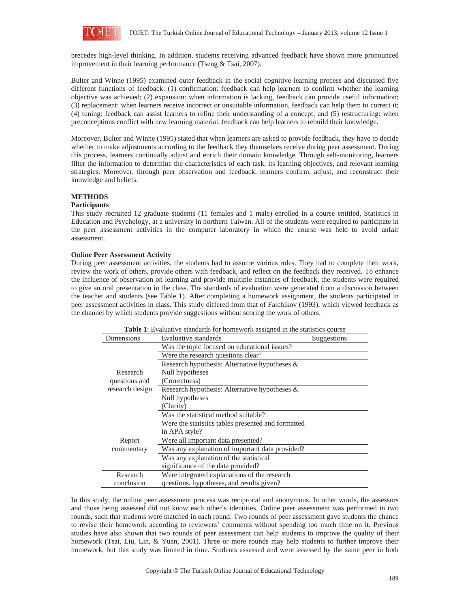

precedes high-level thinking. In addition, students receiving advanced feedback have shown more pronounced improvement in their learning performance (Tseng & Tsai, 2007).

Bulter and Winne (1995) examined outer feedback in the social cognitive learning process and discussed five different functions of feedback: (1) confirmation: feedback can help learners to confirm whether the learning objective was achieved; (2) expansion: when information is lacking, feedback can provide useful information; (3) replacement: when learners receive incorrect or unsuitable information, feedback can help them to correct it; (4) tuning: feedback can assist learners to refine their understanding of a concept; and (5) restructuring: when preconceptions conflict with new learning material, feedback can help learners to rebuild their knowledge.

Moreover, Bulter and Winne (1995) stated that when learners are asked to provide feedback, they have to decide whether to make adjustments according to the feedback they themselves receive during peer assessment. During this process, learners continually adjust and enrich their domain knowledge. Through self-monitoring, learners filter the information to determine the characteristics of each task, its learning objectives, and relevant learning strategies. Moreover, through peer observation and feedback, learners confirm, adjust, and reconstruct their knowledge and beliefs.

## **METHODS**

### **Participants**

This study recruited 12 graduate students (11 females and 1 male) enrolled in a course entitled, Statistics in Education and Psychology, at a university in northern Taiwan. All of the students were required to participate in the peer assessment activities in the computer laboratory in which the course was held to avoid unfair assessment.

### **Online Peer Assessment Activity**

During peer assessment activities, the students had to assume various roles. They had to complete their work, review the work of others, provide others with feedback, and reflect on the feedback they received. To enhance the influence of observation on learning and provide multiple instances of feedback, the students were required to give an oral presentation in the class. The standards of evaluation were generated from a discussion between the teacher and students (see Table 1). After completing a homework assignment, the students participated in peer assessment activities in class. This study differed from that of Falchikov (1993), which viewed feedback as the channel by which students provide suggestions without scoring the work of others.

| <b>Table 1:</b> Evaluative standards for homework assigned in the statistics course |                                                    |  |  |
|-------------------------------------------------------------------------------------|----------------------------------------------------|--|--|
| Dimensions                                                                          | Evaluative standards<br>Suggestions                |  |  |
|                                                                                     | Was the topic focused on educational issues?       |  |  |
|                                                                                     | Were the research questions clear?                 |  |  |
|                                                                                     | Research hypothesis: Alternative hypotheses &      |  |  |
| Research                                                                            | Null hypotheses                                    |  |  |
| questions and                                                                       | (Correctness)                                      |  |  |
| research design                                                                     | Research hypothesis: Alternative hypotheses $\&$   |  |  |
|                                                                                     | Null hypotheses                                    |  |  |
|                                                                                     | (Clarity)                                          |  |  |
|                                                                                     | Was the statistical method suitable?               |  |  |
|                                                                                     | Were the statistics tables presented and formatted |  |  |
|                                                                                     | in APA style?                                      |  |  |
| Report                                                                              | Were all important data presented?                 |  |  |
| commentary                                                                          | Was any explanation of important data provided?    |  |  |
|                                                                                     | Was any explanation of the statistical             |  |  |
|                                                                                     | significance of the data provided?                 |  |  |
| Research                                                                            | Were integrated explanations of the research       |  |  |
| conclusion                                                                          | questions, hypotheses, and results given?          |  |  |

In this study, the online peer assessment process was reciprocal and anonymous. In other words, the assessors and those being assessed did not know each other's identities. Online peer assessment was performed in two rounds, such that students were matched in each round. Two rounds of peer assessment gave students the chance to revise their homework according to reviewers' comments without spending too much time on it. Previous studies have also shown that two rounds of peer assessment can help students to improve the quality of their homework (Tsai, Liu, Lin, & Yuan, 2001). Three or more rounds may help students to further improve their homework, but this study was limited in time. Students assessed and were assessed by the same peer in both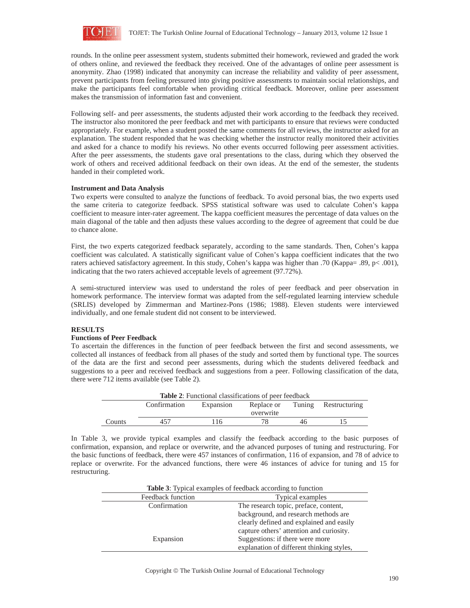

rounds. In the online peer assessment system, students submitted their homework, reviewed and graded the work of others online, and reviewed the feedback they received. One of the advantages of online peer assessment is anonymity. Zhao (1998) indicated that anonymity can increase the reliability and validity of peer assessment, prevent participants from feeling pressured into giving positive assessments to maintain social relationships, and make the participants feel comfortable when providing critical feedback. Moreover, online peer assessment makes the transmission of information fast and convenient.

Following self- and peer assessments, the students adjusted their work according to the feedback they received. The instructor also monitored the peer feedback and met with participants to ensure that reviews were conducted appropriately. For example, when a student posted the same comments for all reviews, the instructor asked for an explanation. The student responded that he was checking whether the instructor really monitored their activities and asked for a chance to modify his reviews. No other events occurred following peer assessment activities. After the peer assessments, the students gave oral presentations to the class, during which they observed the work of others and received additional feedback on their own ideas. At the end of the semester, the students handed in their completed work.

### **Instrument and Data Analysis**

Two experts were consulted to analyze the functions of feedback. To avoid personal bias, the two experts used the same criteria to categorize feedback. SPSS statistical software was used to calculate Cohen's kappa coefficient to measure inter-rater agreement. The kappa coefficient measures the percentage of data values on the main diagonal of the table and then adjusts these values according to the degree of agreement that could be due to chance alone.

First, the two experts categorized feedback separately, according to the same standards. Then, Cohen's kappa coefficient was calculated. A statistically significant value of Cohen's kappa coefficient indicates that the two raters achieved satisfactory agreement. In this study, Cohen's kappa was higher than .70 (Kappa= .89, p< .001), indicating that the two raters achieved acceptable levels of agreement (97.72%).

A semi-structured interview was used to understand the roles of peer feedback and peer observation in homework performance. The interview format was adapted from the self-regulated learning interview schedule (SRLIS) developed by Zimmerman and Martinez-Pons (1986; 1988). Eleven students were interviewed individually, and one female student did not consent to be interviewed.

## **RESULTS**

### **Functions of Peer Feedback**

To ascertain the differences in the function of peer feedback between the first and second assessments, we collected all instances of feedback from all phases of the study and sorted them by functional type. The sources of the data are the first and second peer assessments, during which the students delivered feedback and suggestions to a peer and received feedback and suggestions from a peer. Following classification of the data, there were 712 items available (see Table 2).

| <b>Table 2:</b> Functional classifications of peer feedback |              |           |            |        |               |
|-------------------------------------------------------------|--------------|-----------|------------|--------|---------------|
|                                                             | Confirmation | Expansion | Replace or | Tuning | Restructuring |
|                                                             |              |           | overwrite  |        |               |
| Counts                                                      | 457          | 116       |            | 46.    |               |

In Table 3, we provide typical examples and classify the feedback according to the basic purposes of confirmation, expansion, and replace or overwrite, and the advanced purposes of tuning and restructuring. For the basic functions of feedback, there were 457 instances of confirmation, 116 of expansion, and 78 of advice to replace or overwrite. For the advanced functions, there were 46 instances of advice for tuning and 15 for restructuring.

| <b>Table 3:</b> Typical examples of feedback according to function |                                           |  |  |
|--------------------------------------------------------------------|-------------------------------------------|--|--|
| Feedback function                                                  | <b>Typical examples</b>                   |  |  |
| Confirmation                                                       | The research topic, preface, content,     |  |  |
|                                                                    | background, and research methods are      |  |  |
|                                                                    | clearly defined and explained and easily  |  |  |
|                                                                    | capture others' attention and curiosity.  |  |  |
| Expansion                                                          | Suggestions: if there were more           |  |  |
|                                                                    | explanation of different thinking styles, |  |  |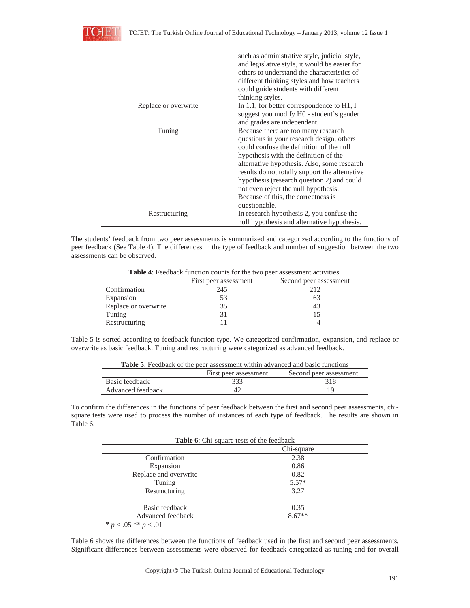

|                      | such as administrative style, judicial style,  |
|----------------------|------------------------------------------------|
|                      | and legislative style, it would be easier for  |
|                      | others to understand the characteristics of    |
|                      | different thinking styles and how teachers     |
|                      | could guide students with different            |
|                      | thinking styles.                               |
| Replace or overwrite | In 1.1, for better correspondence to H1, I     |
|                      | suggest you modify H0 - student's gender       |
|                      | and grades are independent.                    |
| Tuning               | Because there are too many research            |
|                      | questions in your research design, others      |
|                      | could confuse the definition of the null       |
|                      | hypothesis with the definition of the          |
|                      | alternative hypothesis. Also, some research    |
|                      | results do not totally support the alternative |
|                      | hypothesis (research question 2) and could     |
|                      | not even reject the null hypothesis.           |
|                      | Because of this, the correctness is            |
|                      | questionable.                                  |
| Restructuring        | In research hypothesis 2, you confuse the      |
|                      | null hypothesis and alternative hypothesis.    |

The students' feedback from two peer assessments is summarized and categorized according to the functions of peer feedback (See Table 4). The differences in the type of feedback and number of suggestion between the two assessments can be observed.

**Table 4**: Feedback function counts for the two peer assessment activities.

|                      | First peer assessment | Second peer assessment |
|----------------------|-----------------------|------------------------|
| Confirmation         | 245                   | 212                    |
| Expansion            | 53                    | 63                     |
| Replace or overwrite | 35                    | 43                     |
| Tuning               | 31                    | $\mathsf{L}$           |
| Restructuring        |                       |                        |

Table 5 is sorted according to feedback function type. We categorized confirmation, expansion, and replace or overwrite as basic feedback. Tuning and restructuring were categorized as advanced feedback.

| <b>Table 5:</b> Feedback of the peer assessment within advanced and basic functions |                       |                        |  |  |
|-------------------------------------------------------------------------------------|-----------------------|------------------------|--|--|
|                                                                                     | First peer assessment | Second peer assessment |  |  |
| Basic feedback                                                                      | 333                   | 318                    |  |  |
| Advanced feedback                                                                   | 42                    | 10                     |  |  |

**Table 5**: Feedback of the peer assessment within advanced and basic functions.

To confirm the differences in the functions of peer feedback between the first and second peer assessments, chisquare tests were used to process the number of instances of each type of feedback. The results are shown in Table 6.

|                       | Chi-square |
|-----------------------|------------|
| Confirmation          | 2.38       |
| Expansion             | 0.86       |
| Replace and overwrite | 0.82       |
| Tuning                | $5.57*$    |
| Restructuring         | 3.27       |
| Basic feedback        | 0.35       |
| Advanced feedback     | $8.67**$   |

Table 6 shows the differences between the functions of feedback used in the first and second peer assessments. Significant differences between assessments were observed for feedback categorized as tuning and for overall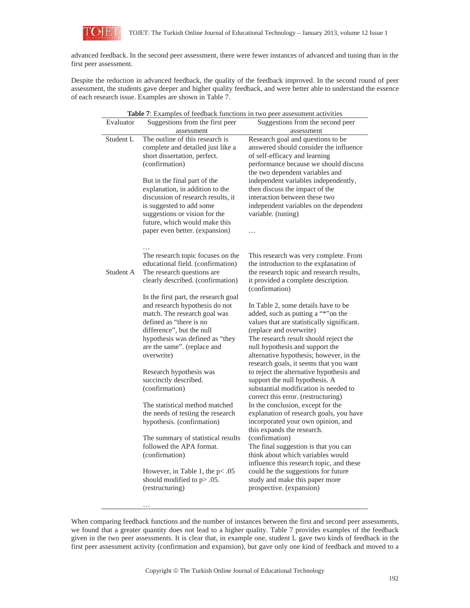

advanced feedback. In the second peer assessment, there were fewer instances of advanced and tuning than in the first peer assessment.

Despite the reduction in advanced feedback, the quality of the feedback improved. In the second round of peer assessment, the students gave deeper and higher quality feedback, and were better able to understand the essence of each research issue. Examples are shown in Table 7.

| Table 7: Examples of feedback functions in two peer assessment activities |                                                                                                                                                                                                                                       |                                                                                                                                                                                                                                                                                                                      |  |
|---------------------------------------------------------------------------|---------------------------------------------------------------------------------------------------------------------------------------------------------------------------------------------------------------------------------------|----------------------------------------------------------------------------------------------------------------------------------------------------------------------------------------------------------------------------------------------------------------------------------------------------------------------|--|
| Evaluator                                                                 | Suggestions from the first peer                                                                                                                                                                                                       | Suggestions from the second peer                                                                                                                                                                                                                                                                                     |  |
|                                                                           | assessment                                                                                                                                                                                                                            | assessment                                                                                                                                                                                                                                                                                                           |  |
| Student L                                                                 | The outline of this research is<br>complete and detailed just like a<br>short dissertation, perfect.<br>(confirmation)                                                                                                                | Research goal and questions to be<br>answered should consider the influence<br>of self-efficacy and learning<br>performance because we should discuss<br>the two dependent variables and                                                                                                                             |  |
|                                                                           | But in the final part of the<br>explanation, in addition to the<br>discussion of research results, it<br>is suggested to add some<br>suggestions or vision for the<br>future, which would make this<br>paper even better. (expansion) | independent variables independently,<br>then discuss the impact of the<br>interaction between these two<br>independent variables on the dependent<br>variable. (tuning)<br>$\cdots$                                                                                                                                  |  |
| Student A                                                                 | The research topic focuses on the<br>educational field. (confirmation)<br>The research questions are<br>clearly described. (confirmation)<br>In the first part, the research goal                                                     | This research was very complete. From<br>the introduction to the explanation of<br>the research topic and research results,<br>it provided a complete description.<br>(confirmation)                                                                                                                                 |  |
|                                                                           | and research hypothesis do not<br>match. The research goal was<br>defined as "there is no<br>difference", but the null<br>hypothesis was defined as "they<br>are the same". (replace and<br>overwrite)                                | In Table 2, some details have to be.<br>added, such as putting a "*"on the<br>values that are statistically significant.<br>(replace and overwrite)<br>The research result should reject the<br>null hypothesis and support the<br>alternative hypothesis; however, in the<br>research goals, it seems that you want |  |
|                                                                           | Research hypothesis was<br>succinctly described.<br>(confirmation)                                                                                                                                                                    | to reject the alternative hypothesis and<br>support the null hypothesis. A<br>substantial modification is needed to<br>correct this error. (restructuring)                                                                                                                                                           |  |
|                                                                           | The statistical method matched<br>the needs of testing the research<br>hypothesis. (confirmation)                                                                                                                                     | In the conclusion, except for the<br>explanation of research goals, you have<br>incorporated your own opinion, and<br>this expands the research.                                                                                                                                                                     |  |
|                                                                           | The summary of statistical results<br>followed the APA format.<br>(confirmation)                                                                                                                                                      | (confirmation)<br>The final suggestion is that you can<br>think about which variables would<br>influence this research topic, and these                                                                                                                                                                              |  |
|                                                                           | However, in Table 1, the $p < .05$<br>should modified to p> .05.<br>(restructuring)                                                                                                                                                   | could be the suggestions for future<br>study and make this paper more<br>prospective. (expansion)                                                                                                                                                                                                                    |  |

When comparing feedback functions and the number of instances between the first and second peer assessments, we found that a greater quantity does not lead to a higher quality. Table 7 provides examples of the feedback given in the two peer assessments. It is clear that, in example one, student L gave two kinds of feedback in the first peer assessment activity (confirmation and expansion), but gave only one kind of feedback and moved to a

…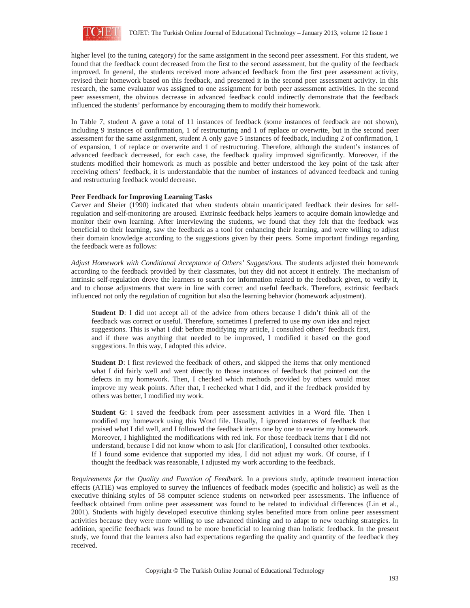

higher level (to the tuning category) for the same assignment in the second peer assessment. For this student, we found that the feedback count decreased from the first to the second assessment, but the quality of the feedback improved. In general, the students received more advanced feedback from the first peer assessment activity, revised their homework based on this feedback, and presented it in the second peer assessment activity. In this research, the same evaluator was assigned to one assignment for both peer assessment activities. In the second peer assessment, the obvious decrease in advanced feedback could indirectly demonstrate that the feedback influenced the students' performance by encouraging them to modify their homework.

In Table 7, student A gave a total of 11 instances of feedback (some instances of feedback are not shown), including 9 instances of confirmation, 1 of restructuring and 1 of replace or overwrite, but in the second peer assessment for the same assignment, student A only gave 5 instances of feedback, including 2 of confirmation, 1 of expansion, 1 of replace or overwrite and 1 of restructuring. Therefore, although the student's instances of advanced feedback decreased, for each case, the feedback quality improved significantly. Moreover, if the students modified their homework as much as possible and better understood the key point of the task after receiving others' feedback, it is understandable that the number of instances of advanced feedback and tuning and restructuring feedback would decrease.

### **Peer Feedback for Improving Learning Tasks**

Carver and Sheier (1990) indicated that when students obtain unanticipated feedback their desires for selfregulation and self-monitoring are aroused. Extrinsic feedback helps learners to acquire domain knowledge and monitor their own learning. After interviewing the students, we found that they felt that the feedback was beneficial to their learning, saw the feedback as a tool for enhancing their learning, and were willing to adjust their domain knowledge according to the suggestions given by their peers. Some important findings regarding the feedback were as follows:

*Adjust Homework with Conditional Acceptance of Others' Suggestions.* The students adjusted their homework according to the feedback provided by their classmates, but they did not accept it entirely. The mechanism of intrinsic self-regulation drove the learners to search for information related to the feedback given, to verify it, and to choose adjustments that were in line with correct and useful feedback. Therefore, extrinsic feedback influenced not only the regulation of cognition but also the learning behavior (homework adjustment).

**Student D**: I did not accept all of the advice from others because I didn't think all of the feedback was correct or useful. Therefore, sometimes I preferred to use my own idea and reject suggestions. This is what I did: before modifying my article, I consulted others' feedback first, and if there was anything that needed to be improved, I modified it based on the good suggestions. In this way, I adopted this advice.

**Student D**: I first reviewed the feedback of others, and skipped the items that only mentioned what I did fairly well and went directly to those instances of feedback that pointed out the defects in my homework. Then, I checked which methods provided by others would most improve my weak points. After that, I rechecked what I did, and if the feedback provided by others was better, I modified my work.

**Student G**: I saved the feedback from peer assessment activities in a Word file. Then I modified my homework using this Word file. Usually, I ignored instances of feedback that praised what I did well, and I followed the feedback items one by one to rewrite my homework. Moreover, I highlighted the modifications with red ink. For those feedback items that I did not understand, because I did not know whom to ask [for clarification], I consulted other textbooks. If I found some evidence that supported my idea, I did not adjust my work. Of course, if I thought the feedback was reasonable, I adjusted my work according to the feedback.

*Requirements for the Quality and Function of Feedback.* In a previous study, aptitude treatment interaction effects (ATIE) was employed to survey the influences of feedback modes (specific and holistic) as well as the executive thinking styles of 58 computer science students on networked peer assessments. The influence of feedback obtained from online peer assessment was found to be related to individual differences (Lin et al., 2001). Students with highly developed executive thinking styles benefited more from online peer assessment activities because they were more willing to use advanced thinking and to adapt to new teaching strategies. In addition, specific feedback was found to be more beneficial to learning than holistic feedback. In the present study, we found that the learners also had expectations regarding the quality and quantity of the feedback they received.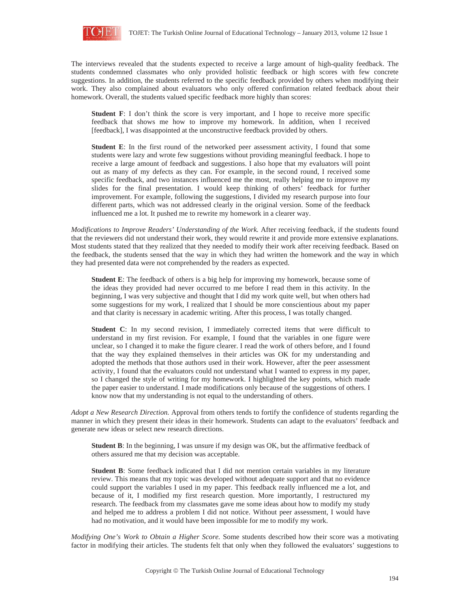

The interviews revealed that the students expected to receive a large amount of high-quality feedback. The students condemned classmates who only provided holistic feedback or high scores with few concrete suggestions. In addition, the students referred to the specific feedback provided by others when modifying their work. They also complained about evaluators who only offered confirmation related feedback about their homework. Overall, the students valued specific feedback more highly than scores:

**Student F**: I don't think the score is very important, and I hope to receive more specific feedback that shows me how to improve my homework. In addition, when I received [feedback], I was disappointed at the unconstructive feedback provided by others.

**Student E**: In the first round of the networked peer assessment activity, I found that some students were lazy and wrote few suggestions without providing meaningful feedback. I hope to receive a large amount of feedback and suggestions. I also hope that my evaluators will point out as many of my defects as they can. For example, in the second round, I received some specific feedback, and two instances influenced me the most, really helping me to improve my slides for the final presentation. I would keep thinking of others' feedback for further improvement. For example, following the suggestions, I divided my research purpose into four different parts, which was not addressed clearly in the original version. Some of the feedback influenced me a lot. It pushed me to rewrite my homework in a clearer way.

*Modifications to Improve Readers' Understanding of the Work.* After receiving feedback, if the students found that the reviewers did not understand their work, they would rewrite it and provide more extensive explanations. Most students stated that they realized that they needed to modify their work after receiving feedback. Based on the feedback, the students sensed that the way in which they had written the homework and the way in which they had presented data were not comprehended by the readers as expected.

**Student E**: The feedback of others is a big help for improving my homework, because some of the ideas they provided had never occurred to me before I read them in this activity. In the beginning, I was very subjective and thought that I did my work quite well, but when others had some suggestions for my work, I realized that I should be more conscientious about my paper and that clarity is necessary in academic writing. After this process, I was totally changed.

**Student C**: In my second revision, I immediately corrected items that were difficult to understand in my first revision. For example, I found that the variables in one figure were unclear, so I changed it to make the figure clearer. I read the work of others before, and I found that the way they explained themselves in their articles was OK for my understanding and adopted the methods that those authors used in their work. However, after the peer assessment activity, I found that the evaluators could not understand what I wanted to express in my paper, so I changed the style of writing for my homework. I highlighted the key points, which made the paper easier to understand. I made modifications only because of the suggestions of others. I know now that my understanding is not equal to the understanding of others.

*Adopt a New Research Direction.* Approval from others tends to fortify the confidence of students regarding the manner in which they present their ideas in their homework. Students can adapt to the evaluators' feedback and generate new ideas or select new research directions.

**Student B**: In the beginning, I was unsure if my design was OK, but the affirmative feedback of others assured me that my decision was acceptable.

**Student B**: Some feedback indicated that I did not mention certain variables in my literature review. This means that my topic was developed without adequate support and that no evidence could support the variables I used in my paper. This feedback really influenced me a lot, and because of it, I modified my first research question. More importantly, I restructured my research. The feedback from my classmates gave me some ideas about how to modify my study and helped me to address a problem I did not notice. Without peer assessment, I would have had no motivation, and it would have been impossible for me to modify my work.

*Modifying One's Work to Obtain a Higher Score.* Some students described how their score was a motivating factor in modifying their articles. The students felt that only when they followed the evaluators' suggestions to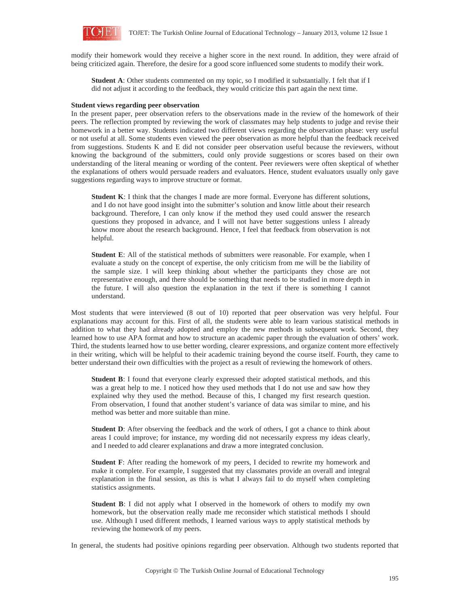

modify their homework would they receive a higher score in the next round. In addition, they were afraid of being criticized again. Therefore, the desire for a good score influenced some students to modify their work.

**Student A**: Other students commented on my topic, so I modified it substantially. I felt that if I did not adjust it according to the feedback, they would criticize this part again the next time.

### **Student views regarding peer observation**

In the present paper, peer observation refers to the observations made in the review of the homework of their peers. The reflection prompted by reviewing the work of classmates may help students to judge and revise their homework in a better way. Students indicated two different views regarding the observation phase: very useful or not useful at all. Some students even viewed the peer observation as more helpful than the feedback received from suggestions. Students K and E did not consider peer observation useful because the reviewers, without knowing the background of the submitters, could only provide suggestions or scores based on their own understanding of the literal meaning or wording of the content. Peer reviewers were often skeptical of whether the explanations of others would persuade readers and evaluators. Hence, student evaluators usually only gave suggestions regarding ways to improve structure or format.

**Student K**: I think that the changes I made are more formal. Everyone has different solutions, and I do not have good insight into the submitter's solution and know little about their research background. Therefore, I can only know if the method they used could answer the research questions they proposed in advance, and I will not have better suggestions unless I already know more about the research background. Hence, I feel that feedback from observation is not helpful.

**Student E**: All of the statistical methods of submitters were reasonable. For example, when I evaluate a study on the concept of expertise, the only criticism from me will be the liability of the sample size. I will keep thinking about whether the participants they chose are not representative enough, and there should be something that needs to be studied in more depth in the future. I will also question the explanation in the text if there is something I cannot understand.

Most students that were interviewed (8 out of 10) reported that peer observation was very helpful. Four explanations may account for this. First of all, the students were able to learn various statistical methods in addition to what they had already adopted and employ the new methods in subsequent work. Second, they learned how to use APA format and how to structure an academic paper through the evaluation of others' work. Third, the students learned how to use better wording, clearer expressions, and organize content more effectively in their writing, which will be helpful to their academic training beyond the course itself. Fourth, they came to better understand their own difficulties with the project as a result of reviewing the homework of others.

**Student B**: I found that everyone clearly expressed their adopted statistical methods, and this was a great help to me. I noticed how they used methods that I do not use and saw how they explained why they used the method. Because of this, I changed my first research question. From observation, I found that another student's variance of data was similar to mine, and his method was better and more suitable than mine.

**Student D**: After observing the feedback and the work of others, I got a chance to think about areas I could improve; for instance, my wording did not necessarily express my ideas clearly, and I needed to add clearer explanations and draw a more integrated conclusion.

**Student F**: After reading the homework of my peers, I decided to rewrite my homework and make it complete. For example, I suggested that my classmates provide an overall and integral explanation in the final session, as this is what I always fail to do myself when completing statistics assignments.

**Student B**: I did not apply what I observed in the homework of others to modify my own homework, but the observation really made me reconsider which statistical methods I should use. Although I used different methods, I learned various ways to apply statistical methods by reviewing the homework of my peers.

In general, the students had positive opinions regarding peer observation. Although two students reported that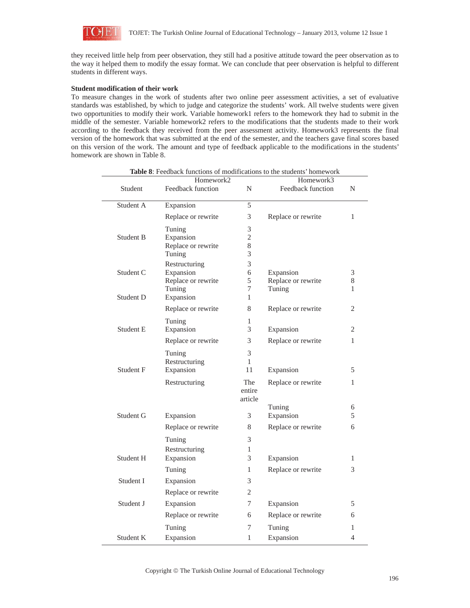

they received little help from peer observation, they still had a positive attitude toward the peer observation as to the way it helped them to modify the essay format. We can conclude that peer observation is helpful to different students in different ways.

### **Student modification of their work**

To measure changes in the work of students after two online peer assessment activities, a set of evaluative standards was established, by which to judge and categorize the students' work. All twelve students were given two opportunities to modify their work. Variable homework1 refers to the homework they had to submit in the middle of the semester. Variable homework2 refers to the modifications that the students made to their work according to the feedback they received from the peer assessment activity. Homework3 represents the final version of the homework that was submitted at the end of the semester, and the teachers gave final scores based on this version of the work. The amount and type of feedback applicable to the modifications in the students' homework are shown in Table 8.

|           | Homework2                    |                          | Table 8: Feedback functions of modifications to the students' homework<br>Homework3 |                |
|-----------|------------------------------|--------------------------|-------------------------------------------------------------------------------------|----------------|
| Student   | Feedback function            | N                        | Feedback function                                                                   | N              |
| Student A | Expansion                    | 5                        |                                                                                     |                |
|           | Replace or rewrite           | 3                        | Replace or rewrite                                                                  | $\mathbf{1}$   |
|           | Tuning                       | 3                        |                                                                                     |                |
| Student B | Expansion                    | $\overline{2}$           |                                                                                     |                |
|           | Replace or rewrite           | 8                        |                                                                                     |                |
|           | Tuning                       | 3                        |                                                                                     |                |
|           | Restructuring                | 3                        |                                                                                     |                |
| Student C | Expansion                    | 6<br>5                   | Expansion                                                                           | 3<br>8         |
|           | Replace or rewrite<br>Tuning | 7                        | Replace or rewrite<br>Tuning                                                        | 1              |
| Student D | Expansion                    | 1                        |                                                                                     |                |
|           | Replace or rewrite           | 8                        | Replace or rewrite                                                                  | 2              |
|           | Tuning                       | 1                        |                                                                                     |                |
| Student E | Expansion                    | 3                        | Expansion                                                                           | 2              |
|           | Replace or rewrite           | 3                        | Replace or rewrite                                                                  | 1              |
|           | Tuning                       | 3                        |                                                                                     |                |
|           | Restructuring                | 1                        |                                                                                     |                |
| Student F | Expansion                    | 11                       | Expansion                                                                           | 5              |
|           | Restructuring                | The<br>entire<br>article | Replace or rewrite                                                                  | 1              |
|           |                              |                          | Tuning                                                                              | 6              |
| Student G | Expansion                    | 3                        | Expansion                                                                           | 5              |
|           | Replace or rewrite           | 8                        | Replace or rewrite                                                                  | 6              |
|           | Tuning                       | 3                        |                                                                                     |                |
|           | Restructuring                | $\mathbf{1}$             |                                                                                     |                |
| Student H | Expansion                    | 3                        | Expansion                                                                           | 1              |
|           | Tuning                       | 1                        | Replace or rewrite                                                                  | 3              |
| Student I | Expansion                    | 3                        |                                                                                     |                |
|           | Replace or rewrite           | 2                        |                                                                                     |                |
| Student J | Expansion                    | 7                        | Expansion                                                                           | 5              |
|           | Replace or rewrite           | 6                        | Replace or rewrite                                                                  | 6              |
|           | Tuning                       | 7                        | Tuning                                                                              | 1              |
| Student K | Expansion                    | 1                        | Expansion                                                                           | $\overline{4}$ |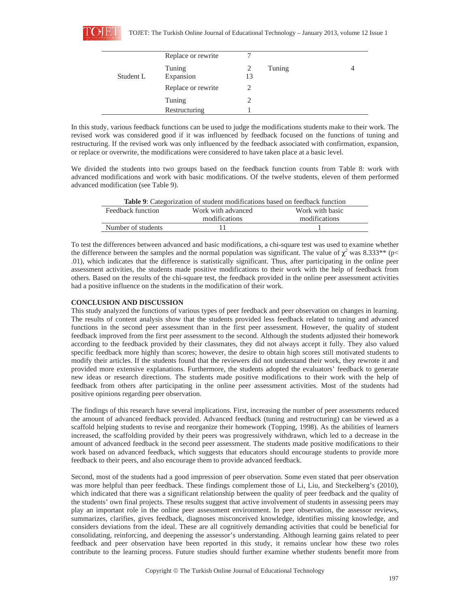|           | Replace or rewrite |    |        |  |
|-----------|--------------------|----|--------|--|
|           | Tuning             | 2  | Tuning |  |
| Student L | Expansion          | 13 |        |  |
|           | Replace or rewrite | 2  |        |  |
|           | Tuning             |    |        |  |
|           | Restructuring      |    |        |  |

In this study, various feedback functions can be used to judge the modifications students make to their work. The revised work was considered good if it was influenced by feedback focused on the functions of tuning and restructuring. If the revised work was only influenced by the feedback associated with confirmation, expansion, or replace or overwrite, the modifications were considered to have taken place at a basic level.

We divided the students into two groups based on the feedback function counts from Table 8: work with advanced modifications and work with basic modifications. Of the twelve students, eleven of them performed advanced modification (see Table 9).

| <b>Table 9:</b> Categorization of student modifications based on feedback function |                 |  |  |
|------------------------------------------------------------------------------------|-----------------|--|--|
| Work with advanced                                                                 | Work with basic |  |  |
| modifications                                                                      | modifications   |  |  |
|                                                                                    |                 |  |  |
|                                                                                    |                 |  |  |

To test the differences between advanced and basic modifications, a chi-square test was used to examine whether the difference between the samples and the normal population was significant. The value of  $\chi^2$  was 8.333<sup>\*\*</sup> (p< .01), which indicates that the difference is statistically significant. Thus, after participating in the online peer assessment activities, the students made positive modifications to their work with the help of feedback from others. Based on the results of the chi-square test, the feedback provided in the online peer assessment activities had a positive influence on the students in the modification of their work.

### **CONCLUSION AND DISCUSSION**

This study analyzed the functions of various types of peer feedback and peer observation on changes in learning. The results of content analysis show that the students provided less feedback related to tuning and advanced functions in the second peer assessment than in the first peer assessment. However, the quality of student feedback improved from the first peer assessment to the second. Although the students adjusted their homework according to the feedback provided by their classmates, they did not always accept it fully. They also valued specific feedback more highly than scores; however, the desire to obtain high scores still motivated students to modify their articles. If the students found that the reviewers did not understand their work, they rewrote it and provided more extensive explanations. Furthermore, the students adopted the evaluators' feedback to generate new ideas or research directions. The students made positive modifications to their work with the help of feedback from others after participating in the online peer assessment activities. Most of the students had positive opinions regarding peer observation.

The findings of this research have several implications. First, increasing the number of peer assessments reduced the amount of advanced feedback provided. Advanced feedback (tuning and restructuring) can be viewed as a scaffold helping students to revise and reorganize their homework (Topping, 1998). As the abilities of learners increased, the scaffolding provided by their peers was progressively withdrawn, which led to a decrease in the amount of advanced feedback in the second peer assessment. The students made positive modifications to their work based on advanced feedback, which suggests that educators should encourage students to provide more feedback to their peers, and also encourage them to provide advanced feedback.

Second, most of the students had a good impression of peer observation. Some even stated that peer observation was more helpful than peer feedback. These findings complement those of Li, Liu, and Steckelberg's (2010), which indicated that there was a significant relationship between the quality of peer feedback and the quality of the students' own final projects. These results suggest that active involvement of students in assessing peers may play an important role in the online peer assessment environment. In peer observation, the assessor reviews, summarizes, clarifies, gives feedback, diagnoses misconceived knowledge, identifies missing knowledge, and considers deviations from the ideal. These are all cognitively demanding activities that could be beneficial for consolidating, reinforcing, and deepening the assessor's understanding. Although learning gains related to peer feedback and peer observation have been reported in this study, it remains unclear how these two roles contribute to the learning process. Future studies should further examine whether students benefit more from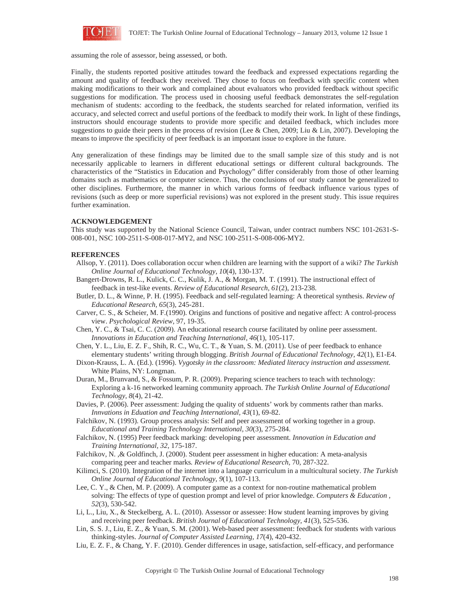

assuming the role of assessor, being assessed, or both.

Finally, the students reported positive attitudes toward the feedback and expressed expectations regarding the amount and quality of feedback they received. They chose to focus on feedback with specific content when making modifications to their work and complained about evaluators who provided feedback without specific suggestions for modification. The process used in choosing useful feedback demonstrates the self-regulation mechanism of students: according to the feedback, the students searched for related information, verified its accuracy, and selected correct and useful portions of the feedback to modify their work. In light of these findings, instructors should encourage students to provide more specific and detailed feedback, which includes more suggestions to guide their peers in the process of revision (Lee & Chen, 2009; Liu & Lin, 2007). Developing the means to improve the specificity of peer feedback is an important issue to explore in the future.

Any generalization of these findings may be limited due to the small sample size of this study and is not necessarily applicable to learners in different educational settings or different cultural backgrounds. The characteristics of the "Statistics in Education and Psychology" differ considerably from those of other learning domains such as mathematics or computer science. Thus, the conclusions of our study cannot be generalized to other disciplines. Furthermore, the manner in which various forms of feedback influence various types of revisions (such as deep or more superficial revisions) was not explored in the present study. This issue requires further examination.

### **ACKNOWLEDGEMENT**

This study was supported by the National Science Council, Taiwan, under contract numbers NSC 101-2631-S-008-001, NSC 100-2511-S-008-017-MY2, and NSC 100-2511-S-008-006-MY2.

### **REFERENCES**

- Allsop, Y. (2011). Does collaboration occur when children are learning with the support of a wiki? *The Turkish Online Journal of Educational Technology, 10*(4), 130-137.
- Bangert-Drowns, R. L., Kulick, C. C., Kulik, J. A., & Morgan, M. T. (1991). The instructional effect of feedback in test-like events. *Review of Educational Research, 61*(2), 213-238.
- Butler, D. L., & Winne, P. H. (1995). Feedback and self-regulated learning: A theoretical synthesis. *Review of Educational Research, 65*(3), 245-281.
- Carver, C. S., & Scheier, M. F.(1990). Origins and functions of positive and negative affect: A control-process view. *Psychological Review*, 97, 19-35.
- Chen, Y. C., & Tsai, C. C. (2009). An educational research course facilitated by online peer assessment. *Innovations in Education and Teaching International, 46*(1), 105-117.
- Chen, Y. L., Liu, E. Z. F., Shih, R. C., Wu, C. T., & Yuan, S. M. (2011). Use of peer feedback to enhance elementary students' writing through blogging. *British Journal of Educational Technology, 42*(1), E1-E4.
- Dixon-Krauss, L. A. (Ed.). (1996). *Vygotsky in the classroom: Mediated literacy instruction and assessment.* White Plains, NY: Longman.
- Duran, M., Brunvand, S., & Fossum, P. R. (2009). Preparing science teachers to teach with technology: Exploring a k-16 networked learning community approach. *The Turkish Online Journal of Educational Technology, 8*(4), 21-42.
- Davies, P. (2006). Peer assessment: Judging the quality of stduents' work by comments rather than marks. *Innvations in Eduation and Teaching International, 43*(1), 69-82.
- Falchikov, N. (1993). Group process analysis: Self and peer assessment of working together in a group. *Educational and Training Technology International, 30*(3), 275-284.
- Falchikov, N. (1995) Peer feedback marking: developing peer assessment. *Innovation in Education and Training International, 32*, 175-187.
- Falchikov, N. ,& Goldfinch, J. (2000). Student peer assessment in higher education: A meta-analysis comparing peer and teacher marks*. Review of Educational Research,* 70, 287-322.
- Kilimci, S. (2010). Integration of the internet into a language curriculum in a multicultural society. *The Turkish Online Journal of Educational Technology, 9*(1), 107-113.
- Lee, C. Y., & Chen, M. P. (2009). A computer game as a context for non-routine mathematical problem solving: The effects of type of question prompt and level of prior knowledge. *Computers & Education , 52*(3), 530-542.
- Li, L., Liu, X., & Steckelberg, A. L. (2010). Assessor or assessee: How student learning improves by giving and receiving peer feedback. *British Journal of Educational Technology, 41*(3), 525-536.
- Lin, S. S. J., Liu, E. Z., & Yuan, S. M. (2001). Web-based peer assessment: feedback for students with various thinking-styles. *Journal of Computer Assisted Learning, 17*(4), 420-432.
- Liu, E. Z. F., & Chang, Y. F. (2010). Gender differences in usage, satisfaction, self-efficacy, and performance